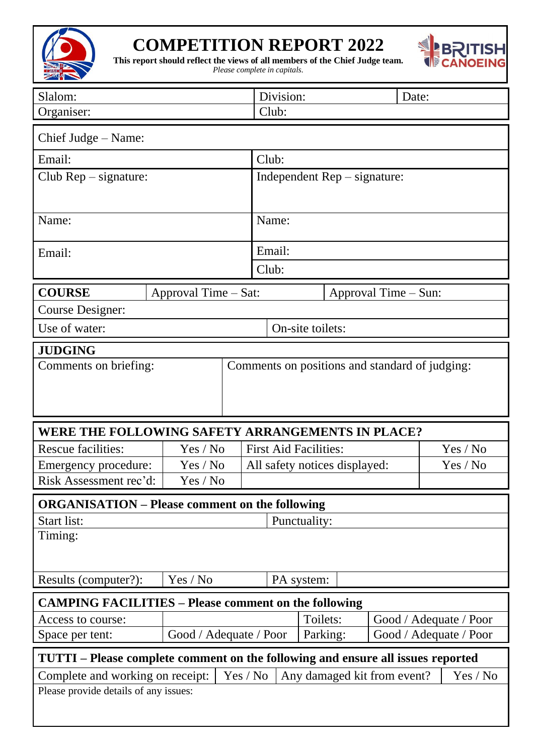

## **COMPETITION REPORT 2022**



**This report should reflect the views of all members of the Chief Judge team.** 

*Please complete in capitals.*

| Slalom:                                                                                 |                        |                                    | Division:                     |              |          | Date:                                       |                        |  |  |
|-----------------------------------------------------------------------------------------|------------------------|------------------------------------|-------------------------------|--------------|----------|---------------------------------------------|------------------------|--|--|
| Organiser:                                                                              |                        |                                    | Club:                         |              |          |                                             |                        |  |  |
| Chief Judge – Name:                                                                     |                        |                                    |                               |              |          |                                             |                        |  |  |
| Email:                                                                                  |                        |                                    | Club:                         |              |          |                                             |                        |  |  |
| Club Rep - signature:                                                                   |                        |                                    |                               |              |          | Independent $\text{Rep}-\text{signature}$ : |                        |  |  |
|                                                                                         |                        |                                    |                               |              |          |                                             |                        |  |  |
|                                                                                         |                        |                                    | Name:                         |              |          |                                             |                        |  |  |
| Name:                                                                                   |                        |                                    |                               |              |          |                                             |                        |  |  |
| Email:                                                                                  |                        |                                    | Email:                        |              |          |                                             |                        |  |  |
|                                                                                         |                        |                                    | Club:                         |              |          |                                             |                        |  |  |
| <b>COURSE</b>                                                                           | Approval Time – Sat:   |                                    | Approval Time – Sun:          |              |          |                                             |                        |  |  |
| <b>Course Designer:</b>                                                                 |                        |                                    |                               |              |          |                                             |                        |  |  |
| Use of water:<br>On-site toilets:                                                       |                        |                                    |                               |              |          |                                             |                        |  |  |
| <b>JUDGING</b>                                                                          |                        |                                    |                               |              |          |                                             |                        |  |  |
| Comments on positions and standard of judging:<br>Comments on briefing:                 |                        |                                    |                               |              |          |                                             |                        |  |  |
|                                                                                         |                        |                                    |                               |              |          |                                             |                        |  |  |
|                                                                                         |                        |                                    |                               |              |          |                                             |                        |  |  |
|                                                                                         |                        |                                    |                               |              |          |                                             |                        |  |  |
| WERE THE FOLLOWING SAFETY ARRANGEMENTS IN PLACE?                                        |                        |                                    |                               |              |          |                                             |                        |  |  |
| <b>Rescue facilities:</b>                                                               | Yes / No               | <b>First Aid Facilities:</b>       |                               |              |          | Yes / No                                    |                        |  |  |
| Emergency procedure:                                                                    | Yes / No               |                                    | All safety notices displayed: |              |          |                                             | Yes / No               |  |  |
| Risk Assessment rec'd:                                                                  | Yes / No               |                                    |                               |              |          |                                             |                        |  |  |
| <b>ORGANISATION – Please comment on the following</b>                                   |                        |                                    |                               |              |          |                                             |                        |  |  |
| Start list:                                                                             |                        |                                    |                               | Punctuality: |          |                                             |                        |  |  |
| Timing:                                                                                 |                        |                                    |                               |              |          |                                             |                        |  |  |
|                                                                                         |                        |                                    |                               |              |          |                                             |                        |  |  |
| Results (computer?):                                                                    | Yes / No               |                                    |                               | PA system:   |          |                                             |                        |  |  |
| <b>CAMPING FACILITIES – Please comment on the following</b>                             |                        |                                    |                               |              |          |                                             |                        |  |  |
| Access to course:                                                                       |                        | Toilets:<br>Good / Adequate / Poor |                               |              |          |                                             |                        |  |  |
| Space per tent:                                                                         | Good / Adequate / Poor |                                    |                               |              | Parking: |                                             | Good / Adequate / Poor |  |  |
| TUTTI – Please complete comment on the following and ensure all issues reported         |                        |                                    |                               |              |          |                                             |                        |  |  |
| Yes / No<br>Complete and working on receipt:<br>Any damaged kit from event?<br>Yes / No |                        |                                    |                               |              |          |                                             |                        |  |  |
|                                                                                         |                        |                                    |                               |              |          |                                             |                        |  |  |
|                                                                                         |                        |                                    |                               |              |          |                                             |                        |  |  |
| Please provide details of any issues:                                                   |                        |                                    |                               |              |          |                                             |                        |  |  |